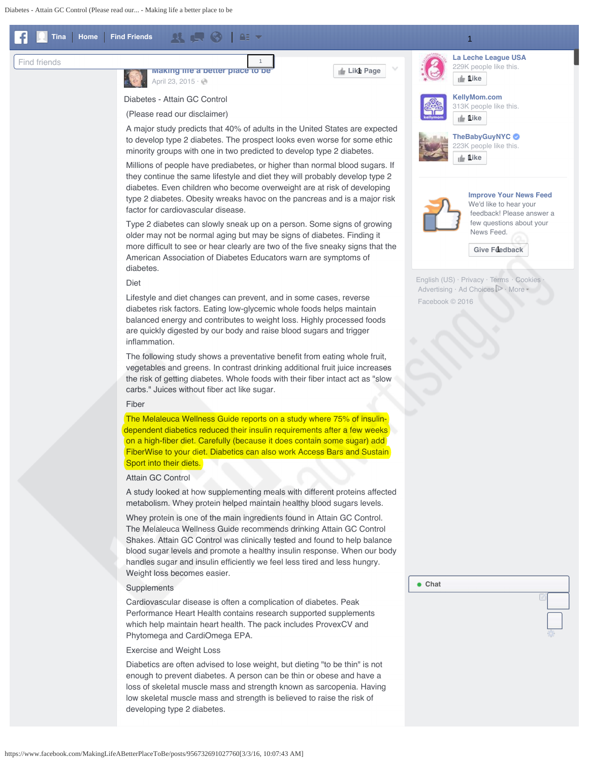<span id="page-0-0"></span>



**[Making life a better place to be](https://www.facebook.com/MakingLifeABetterPlaceToBe/?fref=nf)**

[April 23, 2015](#page-0-0) · @

Diabetes - Attain GC Control

(Please read our disclaimer)

 A major study predicts that 40% of adults in the United States are expected to develop type 2 diabetes. The prospect looks even worse for some ethic minority groups with one in two predicted to develop type 2 diabetes.

1

 Millions of people have prediabetes, or higher than normal blood sugars. If they continue the same lifestyle and diet they will probably develop type 2 diabetes. Even children who become overweight are at risk of developing type 2 diabetes. Obesity wreaks havoc on the pancreas and is a major risk factor for cardiovascular disease.

 Type 2 diabetes can slowly sneak up on a person. Some signs of growing older may not be normal aging but may be signs of diabetes. Finding it more difficult to see or hear clearly are two of the five sneaky signs that the American Association of Diabetes Educators warn are symptoms of diabetes.

# Diet

 Lifestyle and diet changes can prevent, and in some cases, reverse diabetes risk factors. Eating low-glycemic whole foods helps maintain balanced energy and contributes to weight loss. Highly processed foods are quickly digested by our body and raise blood sugars and trigger inflammation.

 The following study shows a preventative benefit from eating whole fruit, vegetables and greens. In contrast drinking additional fruit juice increases the risk of getting diabetes. Whole foods with their fiber intact act as "slow carbs." Juices without fiber act like sugar.

#### Fiber

 The Melaleuca Wellness Guide reports on a study where 75% of insulindependent diabetics reduced their insulin requirements after a few weeks on a high-fiber diet. Carefully (because it does contain some sugar) add FiberWise to your diet. Diabetics can also work Access Bars and Sustain Sport into their diets.

### Attain GC Control

 A study looked at how supplementing meals with different proteins affected metabolism. Whey protein helped maintain healthy blood sugars levels.

 Whey protein is one of the main ingredients found in Attain GC Control. The Melaleuca Wellness Guide recommends drinking Attain GC Control Shakes. Attain GC Control was clinically tested and found to help balance blood sugar levels and promote a healthy insulin response. When our body handles sugar and insulin efficiently we feel less tired and less hungry. Weight loss becomes easier.

## Supplements

 Cardiovascular disease is often a complication of diabetes. Peak Performance Heart Health contains research supported supplements which help maintain heart health. The pack includes ProvexCV and Phytomega and CardiOmega EPA.

### Exercise and Weight Loss

 Diabetics are often advised to lose weight, but dieting "to be thin" is not enough to prevent diabetes. A person can be thin or obese and have a loss of skeletal muscle mass and strength known as sarcopenia. Having low skeletal muscle mass and strength is believed to raise the risk of developing type 2 diabetes.



**Like Page** 1



**[La Leche League USA](https://www.facebook.com/l.php?u=https%3A%2F%2Fwww.facebook.com%2FLaLecheLeagueUSA%2F%3Fref%3Dall_category_pyml&h=TAQFE1Pet&enc=AZMQFHpmjtWgKOBDx2uczmLGa-1hVHs2gUcB2qaAAqe2bXWjH70FJ49TfmxaL7yeUMSx7fqwD3GMDNqBMlCuNhiZZP8JLwD6WGZ-Fysy-0Z6dZ0bNnhZM6R1rTCrCy1Oi6DgrG0N_BYU9327_8b0SB79RbcldOqY4FQlPpfC_riFHWvvc-G_8yFLd55VDsNAExPF1lzxsTJliIB46d16VRYocCNnoYCbonGzdOAMcoo6NTDpz4WxHcTqfOI4ICaoO9aV7LZk2jwXPuQYWxatLTIZYBqvih329qaMxVzCxvAloJCnMYlvrnYFM8Ks8dNRt49yu-PIJ-55WKBbvrkrZLbs_HIqSHS3ZrZ8MwygcrcGa8p85VuxW2piYTUZbMEiB1CxIDMkVKVMmomCyEWcQIedsU5MgOkHA5-YatNSbdKNyQNuDZXGgaUdTWBafep5Fyht8Wsu1G8d9VWYVmH65sX7CUc6GV3Mnwpe1Z5Fe9M5fs5PN_rV1m-iy1aATgWPtRQSuIT__feiV67UIsgs1a1w6qGqF89rj8YLosQEL4AHTM39-n0FSz7EwL7OsCXCTzNFBM2BgQTMVDg6s17xXfU6nlxWx-Zg2-A_0h7kJDxL0Wf0kmiORAC6HJHwQJFmD5bcmiFXH6BZr4sdFpzwaKx7gFMLTrrG8yltKOCkZpmZaxTAytwerVlSAyTgVlMF3W3zG4lYaKCH9FFvcFXrhyAI)**

**[Like](#page-0-0)** 1



**[Improve Your News Feed](#page-0-0)** We'd like to hear your feedback! Please answer a

 few questions about your News Feed.

[Give Feedback](#page-0-0)

[English \(US\)](#page-0-0) · [Privacy](https://www.facebook.com/privacy/explanation) · [Terms](https://www.facebook.com/policies?ref=pf) · [Cookies](https://www.facebook.com/help/cookies?ref_type=sitefooter) Advertising  $\cdot$  Ad Choices  $\mathbb{P}$   $\cdot$  [More](#page-0-0) Facebook © 2016

**Chat**